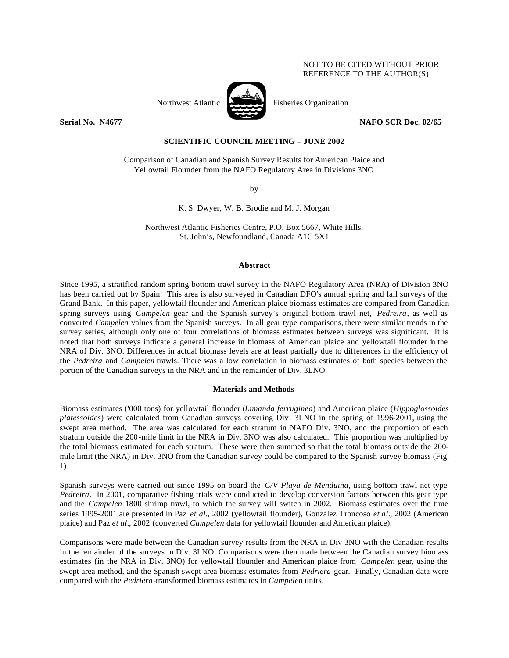## NOT TO BE CITED WITHOUT PRIOR REFERENCE TO THE AUTHOR(S)



Northwest Atlantic Fisheries Organization

**Serial No. N4677 NAFO SCR Doc. 02/65** 

# **SCIENTIFIC COUNCIL MEETING – JUNE 2002**

Comparison of Canadian and Spanish Survey Results for American Plaice and Yellowtail Flounder from the NAFO Regulatory Area in Divisions 3NO

by

K. S. Dwyer, W. B. Brodie and M. J. Morgan

Northwest Atlantic Fisheries Centre, P.O. Box 5667, White Hills, St. John's, Newfoundland, Canada A1C 5X1

#### **Abstract**

Since 1995, a stratified random spring bottom trawl survey in the NAFO Regulatory Area (NRA) of Division 3NO has been carried out by Spain. This area is also surveyed in Canadian DFO's annual spring and fall surveys of the Grand Bank. In this paper, yellowtail flounder and American plaice biomass estimates are compared from Canadian spring surveys using *Campelen* gear and the Spanish survey's original bottom trawl net, *Pedreira*, as well as converted *Campelen* values from the Spanish surveys. In all gear type comparisons, there were similar trends in the survey series, although only one of four correlations of biomass estimates between surveys was significant. It is noted that both surveys indicate a general increase in biomass of American plaice and yellowtail flounder in the NRA of Div. 3NO. Differences in actual biomass levels are at least partially due to differences in the efficiency of the *Pedreira* and *Campelen* trawls. There was a low correlation in biomass estimates of both species between the portion of the Canadian surveys in the NRA and in the remainder of Div. 3LNO.

## **Materials and Methods**

Biomass estimates ('000 tons) for yellowtail flounder (*Limanda ferruginea*) and American plaice (*Hippoglossoides platessoides*) were calculated from Canadian surveys covering Div. 3LNO in the spring of 1996-2001, using the swept area method. The area was calculated for each stratum in NAFO Div. 3NO, and the proportion of each stratum outside the 200-mile limit in the NRA in Div. 3NO was also calculated. This proportion was multiplied by the total biomass estimated for each stratum. These were then summed so that the total biomass outside the 200 mile limit (the NRA) in Div. 3NO from the Canadian survey could be compared to the Spanish survey biomass (Fig. 1).

Spanish surveys were carried out since 1995 on board the *C/V Playa de Menduiña*, using bottom trawl net type *Pedreira*. In 2001, comparative fishing trials were conducted to develop conversion factors between this gear type and the *Campelen* 1800 shrimp trawl, to which the survey will switch in 2002. Biomass estimates over the time series 1995-2001 are presented in Paz *et al.*, 2002 (yellowtail flounder), González Troncoso *et al.*, 2002 (American plaice) and Paz *et al.*, 2002 (converted *Campelen* data for yellowtail flounder and American plaice).

Comparisons were made between the Canadian survey results from the NRA in Div 3NO with the Canadian results in the remainder of the surveys in Div. 3LNO. Comparisons were then made between the Canadian survey biomass estimates (in the NRA in Div. 3NO) for yellowtail flounder and American plaice from *Campelen* gear, using the swept area method, and the Spanish swept area biomass estimates from *Pedriera* gear. Finally, Canadian data were compared with the *Pedriera*-transformed biomass estimates in *Campelen* units.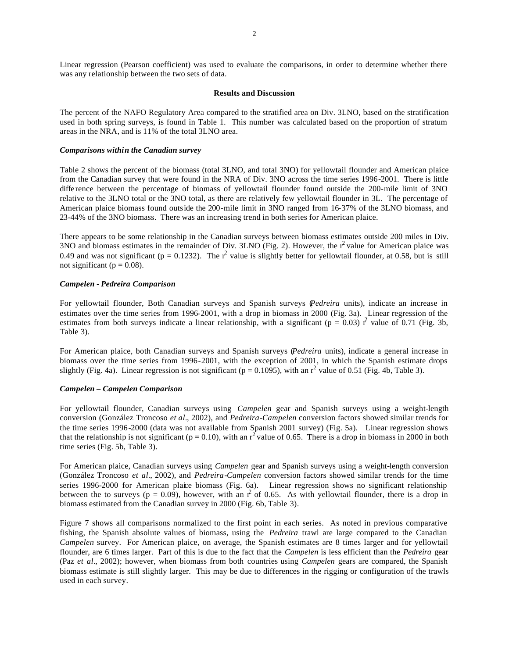Linear regression (Pearson coefficient) was used to evaluate the comparisons, in order to determine whether there was any relationship between the two sets of data.

## **Results and Discussion**

The percent of the NAFO Regulatory Area compared to the stratified area on Div. 3LNO, based on the stratification used in both spring surveys, is found in Table 1. This number was calculated based on the proportion of stratum areas in the NRA, and is 11% of the total 3LNO area.

#### *Comparisons within the Canadian survey*

Table 2 shows the percent of the biomass (total 3LNO, and total 3NO) for yellowtail flounder and American plaice from the Canadian survey that were found in the NRA of Div. 3NO across the time series 1996-2001. There is little diffe rence between the percentage of biomass of yellowtail flounder found outside the 200-mile limit of 3NO relative to the 3LNO total or the 3NO total, as there are relatively few yellowtail flounder in 3L. The percentage of American plaice biomass found outside the 200-mile limit in 3NO ranged from 16-37% of the 3LNO biomass, and 23-44% of the 3NO biomass. There was an increasing trend in both series for American plaice.

There appears to be some relationship in the Canadian surveys between biomass estimates outside 200 miles in Div. 3NO and biomass estimates in the remainder of Div. 3LNO (Fig. 2). However, the  $r^2$  value for American plaice was 0.49 and was not significant ( $p = 0.1232$ ). The  $r^2$  value is slightly better for yellowtail flounder, at 0.58, but is still not significant ( $p = 0.08$ ).

#### *Campelen* **-** *Pedreira Comparison*

For yellowtail flounder, Both Canadian surveys and Spanish surveys (*Pedreira* units), indicate an increase in estimates over the time series from 1996-2001, with a drop in biomass in 2000 (Fig. 3a). Linear regression of the estimates from both surveys indicate a linear relationship, with a significant ( $p = 0.03$ ) r<sup>2</sup> value of 0.71 (Fig. 3b, Table 3).

For American plaice, both Canadian surveys and Spanish surveys (*Pedreira* units), indicate a general increase in biomass over the time series from 1996-2001, with the exception of 2001, in which the Spanish estimate drops slightly (Fig. 4a). Linear regression is not significant ( $p = 0.1095$ ), with an  $r^2$  value of 0.51 (Fig. 4b, Table 3).

# *Campelen* **–** *Campelen Comparison*

For yellowtail flounder, Canadian surveys using *Campelen* gear and Spanish surveys using a weight-length conversion (González Troncoso *et al.*, 2002), and *Pedreira*-*Campelen* conversion factors showed similar trends for the time series 1996-2000 (data was not available from Spanish 2001 survey) (Fig. 5a). Linear regression shows that the relationship is not significant ( $p = 0.10$ ), with an  $r^2$  value of 0.65. There is a drop in biomass in 2000 in both time series (Fig. 5b, Table 3).

For American plaice, Canadian surveys using *Campelen* gear and Spanish surveys using a weight-length conversion (González Troncoso *et al.*, 2002), and *Pedreira*-*Campelen* conversion factors showed similar trends for the time series 1996-2000 for American plaice biomass (Fig. 6a). Linear regression shows no significant relationship between the to surveys ( $p = 0.09$ ), however, with an r<sup>2</sup> of 0.65. As with yellowtail flounder, there is a drop in biomass estimated from the Canadian survey in 2000 (Fig. 6b, Table 3).

Figure 7 shows all comparisons normalized to the first point in each series. As noted in previous comparative fishing, the Spanish absolute values of biomass, using the *Pedreira* trawl are large compared to the Canadian *Campelen* survey. For American plaice, on average, the Spanish estimates are 8 times larger and for yellowtail flounder, are 6 times larger. Part of this is due to the fact that the *Campelen* is less efficient than the *Pedreira* gear (Paz *et al.*, 2002); however, when biomass from both countries using *Campelen* gears are compared, the Spanish biomass estimate is still slightly larger. This may be due to differences in the rigging or configuration of the trawls used in each survey.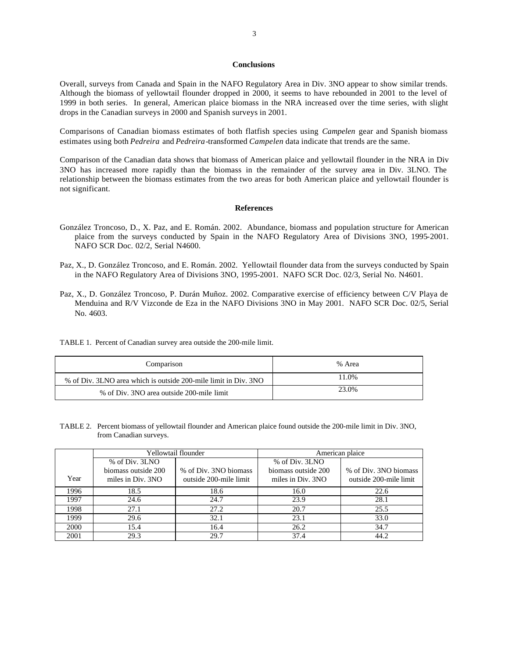## **Conclusions**

Overall, surveys from Canada and Spain in the NAFO Regulatory Area in Div. 3NO appear to show similar trends. Although the biomass of yellowtail flounder dropped in 2000, it seems to have rebounded in 2001 to the level of 1999 in both series. In general, American plaice biomass in the NRA increased over the time series, with slight drops in the Canadian surveys in 2000 and Spanish surveys in 2001.

Comparisons of Canadian biomass estimates of both flatfish species using *Campelen* gear and Spanish biomass estimates using both *Pedreira* and *Pedreira*-transformed *Campelen* data indicate that trends are the same.

Comparison of the Canadian data shows that biomass of American plaice and yellowtail flounder in the NRA in Div 3NO has increased more rapidly than the biomass in the remainder of the survey area in Div. 3LNO. The relationship between the biomass estimates from the two areas for both American plaice and yellowtail flounder is not significant.

#### **References**

- González Troncoso, D., X. Paz, and E. Román. 2002. Abundance, biomass and population structure for American plaice from the surveys conducted by Spain in the NAFO Regulatory Area of Divisions 3NO, 1995-2001. NAFO SCR Doc. 02/2, Serial N4600.
- Paz, X., D. González Troncoso, and E. Román. 2002. Yellowtail flounder data from the surveys conducted by Spain in the NAFO Regulatory Area of Divisions 3NO, 1995-2001. NAFO SCR Doc. 02/3, Serial No. N4601.
- Paz, X., D. González Troncoso, P. Durán Muñoz. 2002. Comparative exercise of efficiency between C/V Playa de Menduina and R/V Vizconde de Eza in the NAFO Divisions 3NO in May 2001. NAFO SCR Doc. 02/5, Serial No. 4603.
- TABLE 1. Percent of Canadian survey area outside the 200-mile limit.

| Comparison                                                      | % Area |
|-----------------------------------------------------------------|--------|
| % of Div. 3LNO area which is outside 200-mile limit in Div. 3NO | 11.0%  |
| % of Div. 3NO area outside 200-mile limit                       | 23.0%  |

TABLE 2. Percent biomass of yellowtail flounder and American plaice found outside the 200-mile limit in Div. 3NO, from Canadian surveys.

|      | Yellowtail flounder |                        | American plaice     |                        |
|------|---------------------|------------------------|---------------------|------------------------|
|      | % of Div. 3LNO      |                        | % of Div. 3LNO      |                        |
|      | biomass outside 200 | % of Div. 3NO biomass  | biomass outside 200 | % of Div. 3NO biomass  |
| Year | miles in Div. 3NO   | outside 200-mile limit | miles in Div. 3NO   | outside 200-mile limit |
| 1996 | 18.5                | 18.6                   | 16.0                | 22.6                   |
| 1997 | 24.6                | 24.7                   | 23.9                | 28.1                   |
| 1998 | 27.1                | 27.2                   | 20.7                | 25.5                   |
| 1999 | 29.6                | 32.1                   | 23.1                | 33.0                   |
| 2000 | 15.4                | 16.4                   | 26.2                | 34.7                   |
| 2001 | 29.3                | 29.7                   | 37.4                | 44.2                   |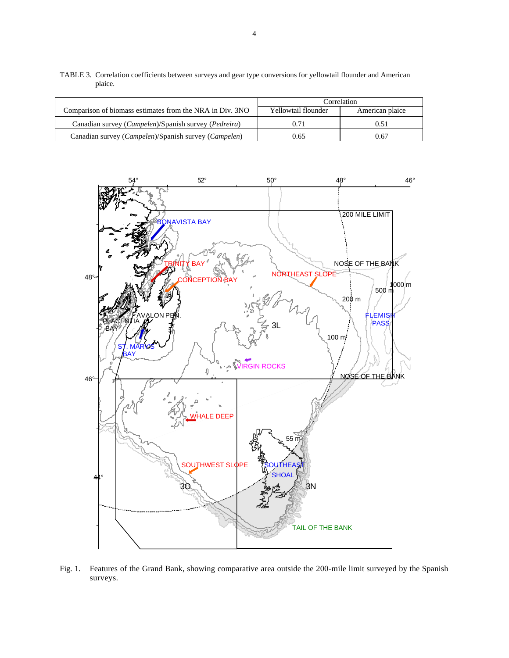|                                                                        | correlation.        |                 |
|------------------------------------------------------------------------|---------------------|-----------------|
| Comparison of biomass estimates from the NRA in Div. 3NO               | Yellowtail flounder | American plaice |
| Canadian survey ( <i>Campelen</i> )/Spanish survey ( <i>Pedreira</i> ) | 0.71                | 0.51            |
| Canadian survey ( <i>Campelen</i> )/Spanish survey ( <i>Campelen</i> ) | 0.65                | 0.67            |

TABLE 3. Correlation coefficients between surveys and gear type conversions for yellowtail flounder and American plaice.



Fig. 1. Features of the Grand Bank, showing comparative area outside the 200-mile limit surveyed by the Spanish surveys.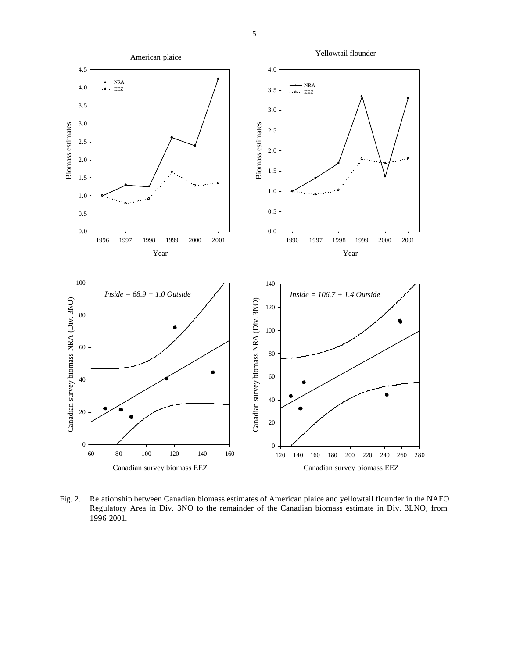

Fig. 2. Relationship between Canadian biomass estimates of American plaice and yellowtail flounder in the NAFO Regulatory Area in Div. 3NO to the remainder of the Canadian biomass estimate in Div. 3LNO, from 1996-2001.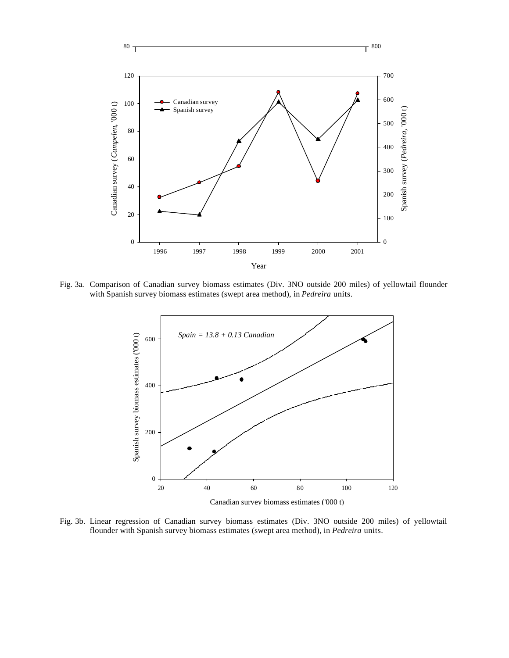

Fig. 3a. Comparison of Canadian survey biomass estimates (Div. 3NO outside 200 miles) of yellowtail flounder with Spanish survey biomass estimates (swept area method), in *Pedreira* units.



Canadian survey biomass estimates ('000 t)

Fig. 3b. Linear regression of Canadian survey biomass estimates (Div. 3NO outside 200 miles) of yellowtail flounder with Spanish survey biomass estimates (swept area method), in *Pedreira* units.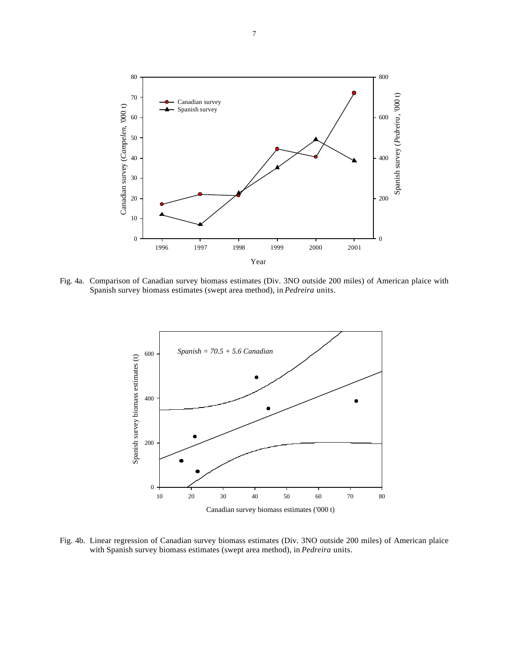

Fig. 4a. Comparison of Canadian survey biomass estimates (Div. 3NO outside 200 miles) of American plaice with Spanish survey biomass estimates (swept area method), in *Pedreira* units.



Fig. 4b. Linear regression of Canadian survey biomass estimates (Div. 3NO outside 200 miles) of American plaice with Spanish survey biomass estimates (swept area method), in *Pedreira* units.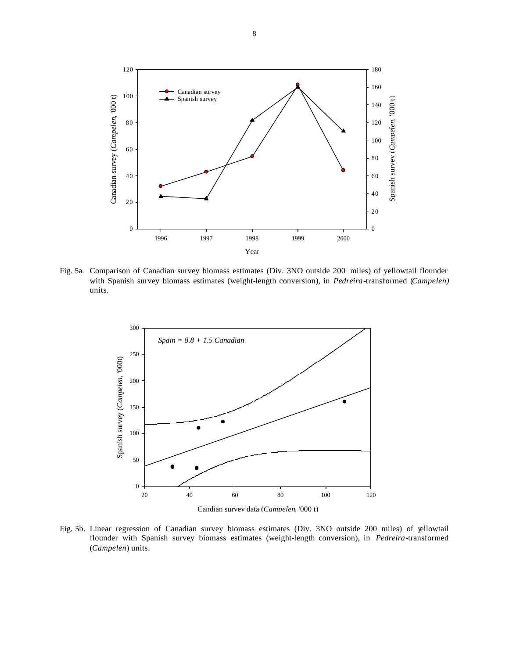

Fig. 5a. Comparison of Canadian survey biomass estimates (Div. 3NO outside 200 miles) of yellowtail flounder with Spanish survey biomass estimates (weight-length conversion), in *Pedreira*-transformed (*Campelen)* units.



Fig. 5b. Linear regression of Canadian survey biomass estimates (Div. 3NO outside 200 miles) of yellowtail flounder with Spanish survey biomass estimates (weight-length conversion), in *Pedreira*-transformed (*Campelen*) units.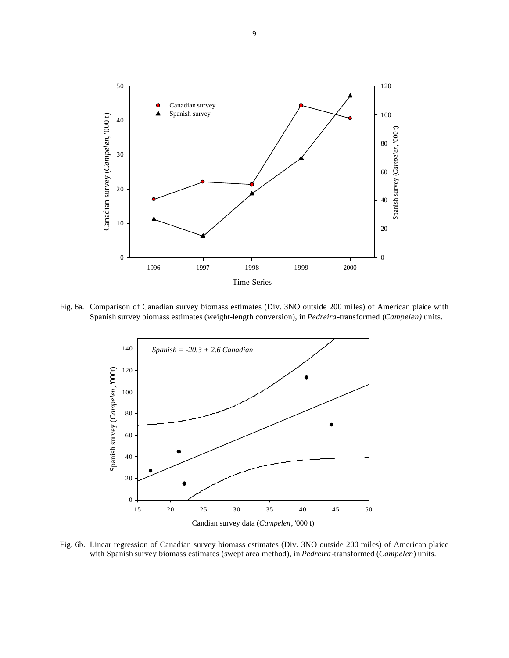

Fig. 6a. Comparison of Canadian survey biomass estimates (Div. 3NO outside 200 miles) of American plaice with Spanish survey biomass estimates (weight-length conversion), in *Pedreira*-transformed (*Campelen)* units.



Fig. 6b. Linear regression of Canadian survey biomass estimates (Div. 3NO outside 200 miles) of American plaice with Spanish survey biomass estimates (swept area method), in *Pedreira*-transformed (*Campelen*) units.